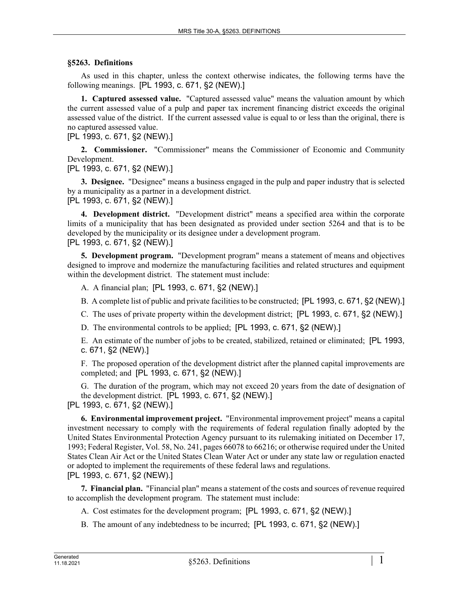## **§5263. Definitions**

As used in this chapter, unless the context otherwise indicates, the following terms have the following meanings. [PL 1993, c. 671, §2 (NEW).]

**1. Captured assessed value.** "Captured assessed value" means the valuation amount by which the current assessed value of a pulp and paper tax increment financing district exceeds the original assessed value of the district. If the current assessed value is equal to or less than the original, there is no captured assessed value.

[PL 1993, c. 671, §2 (NEW).]

**2. Commissioner.** "Commissioner" means the Commissioner of Economic and Community Development.

[PL 1993, c. 671, §2 (NEW).]

**3. Designee.** "Designee" means a business engaged in the pulp and paper industry that is selected by a municipality as a partner in a development district. [PL 1993, c. 671, §2 (NEW).]

**4. Development district.** "Development district" means a specified area within the corporate limits of a municipality that has been designated as provided under section 5264 and that is to be developed by the municipality or its designee under a development program. [PL 1993, c. 671, §2 (NEW).]

**5. Development program.** "Development program" means a statement of means and objectives designed to improve and modernize the manufacturing facilities and related structures and equipment within the development district. The statement must include:

A. A financial plan; [PL 1993, c. 671, §2 (NEW).]

B. A complete list of public and private facilities to be constructed; [PL 1993, c. 671, §2 (NEW).]

C. The uses of private property within the development district; [PL 1993, c. 671, §2 (NEW).]

D. The environmental controls to be applied; [PL 1993, c. 671, §2 (NEW).]

E. An estimate of the number of jobs to be created, stabilized, retained or eliminated; [PL 1993, c. 671, §2 (NEW).]

F. The proposed operation of the development district after the planned capital improvements are completed; and [PL 1993, c. 671, §2 (NEW).]

G. The duration of the program, which may not exceed 20 years from the date of designation of the development district. [PL 1993, c. 671, §2 (NEW).]

[PL 1993, c. 671, §2 (NEW).]

**6. Environmental improvement project.** "Environmental improvement project" means a capital investment necessary to comply with the requirements of federal regulation finally adopted by the United States Environmental Protection Agency pursuant to its rulemaking initiated on December 17, 1993; Federal Register, Vol. 58, No. 241, pages 66078 to 66216; or otherwise required under the United States Clean Air Act or the United States Clean Water Act or under any state law or regulation enacted or adopted to implement the requirements of these federal laws and regulations. [PL 1993, c. 671, §2 (NEW).]

**7. Financial plan.** "Financial plan" means a statement of the costs and sources of revenue required to accomplish the development program. The statement must include:

A. Cost estimates for the development program; [PL 1993, c. 671, §2 (NEW).]

B. The amount of any indebtedness to be incurred; [PL 1993, c. 671, §2 (NEW).]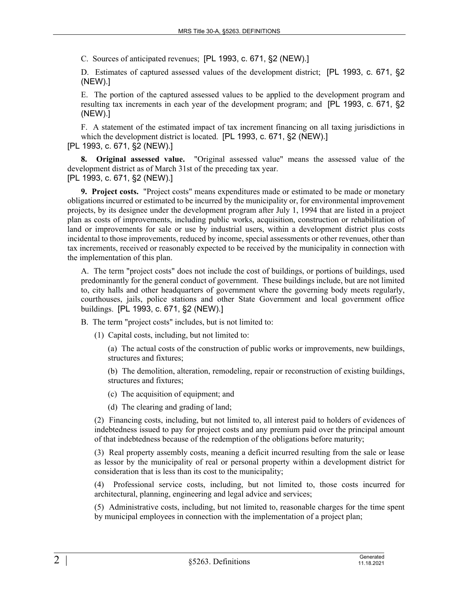C. Sources of anticipated revenues; [PL 1993, c. 671, §2 (NEW).]

D. Estimates of captured assessed values of the development district; [PL 1993, c. 671, §2 (NEW).]

E. The portion of the captured assessed values to be applied to the development program and resulting tax increments in each year of the development program; and [PL 1993, c. 671, §2 (NEW).]

F. A statement of the estimated impact of tax increment financing on all taxing jurisdictions in which the development district is located. [PL 1993, c. 671, §2 (NEW).]

[PL 1993, c. 671, §2 (NEW).]

**8. Original assessed value.** "Original assessed value" means the assessed value of the development district as of March 31st of the preceding tax year. [PL 1993, c. 671, §2 (NEW).]

**9. Project costs.** "Project costs" means expenditures made or estimated to be made or monetary obligations incurred or estimated to be incurred by the municipality or, for environmental improvement projects, by its designee under the development program after July 1, 1994 that are listed in a project plan as costs of improvements, including public works, acquisition, construction or rehabilitation of land or improvements for sale or use by industrial users, within a development district plus costs incidental to those improvements, reduced by income, special assessments or other revenues, other than tax increments, received or reasonably expected to be received by the municipality in connection with the implementation of this plan.

A. The term "project costs" does not include the cost of buildings, or portions of buildings, used predominantly for the general conduct of government. These buildings include, but are not limited to, city halls and other headquarters of government where the governing body meets regularly, courthouses, jails, police stations and other State Government and local government office buildings. [PL 1993, c. 671, §2 (NEW).]

B. The term "project costs" includes, but is not limited to:

(1) Capital costs, including, but not limited to:

(a) The actual costs of the construction of public works or improvements, new buildings, structures and fixtures;

(b) The demolition, alteration, remodeling, repair or reconstruction of existing buildings, structures and fixtures;

- (c) The acquisition of equipment; and
- (d) The clearing and grading of land;

(2) Financing costs, including, but not limited to, all interest paid to holders of evidences of indebtedness issued to pay for project costs and any premium paid over the principal amount of that indebtedness because of the redemption of the obligations before maturity;

(3) Real property assembly costs, meaning a deficit incurred resulting from the sale or lease as lessor by the municipality of real or personal property within a development district for consideration that is less than its cost to the municipality;

(4) Professional service costs, including, but not limited to, those costs incurred for architectural, planning, engineering and legal advice and services;

(5) Administrative costs, including, but not limited to, reasonable charges for the time spent by municipal employees in connection with the implementation of a project plan;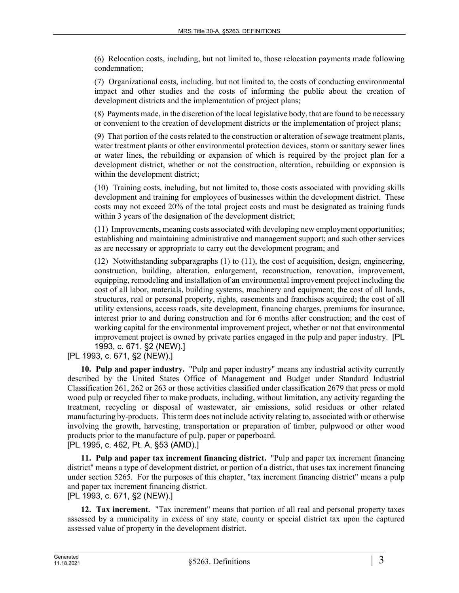(6) Relocation costs, including, but not limited to, those relocation payments made following condemnation;

(7) Organizational costs, including, but not limited to, the costs of conducting environmental impact and other studies and the costs of informing the public about the creation of development districts and the implementation of project plans;

(8) Payments made, in the discretion of the local legislative body, that are found to be necessary or convenient to the creation of development districts or the implementation of project plans;

(9) That portion of the costs related to the construction or alteration of sewage treatment plants, water treatment plants or other environmental protection devices, storm or sanitary sewer lines or water lines, the rebuilding or expansion of which is required by the project plan for a development district, whether or not the construction, alteration, rebuilding or expansion is within the development district;

(10) Training costs, including, but not limited to, those costs associated with providing skills development and training for employees of businesses within the development district. These costs may not exceed 20% of the total project costs and must be designated as training funds within 3 years of the designation of the development district;

(11) Improvements, meaning costs associated with developing new employment opportunities; establishing and maintaining administrative and management support; and such other services as are necessary or appropriate to carry out the development program; and

(12) Notwithstanding subparagraphs (1) to (11), the cost of acquisition, design, engineering, construction, building, alteration, enlargement, reconstruction, renovation, improvement, equipping, remodeling and installation of an environmental improvement project including the cost of all labor, materials, building systems, machinery and equipment; the cost of all lands, structures, real or personal property, rights, easements and franchises acquired; the cost of all utility extensions, access roads, site development, financing charges, premiums for insurance, interest prior to and during construction and for 6 months after construction; and the cost of working capital for the environmental improvement project, whether or not that environmental improvement project is owned by private parties engaged in the pulp and paper industry. [PL 1993, c. 671, §2 (NEW).]

[PL 1993, c. 671, §2 (NEW).]

**10. Pulp and paper industry.** "Pulp and paper industry" means any industrial activity currently described by the United States Office of Management and Budget under Standard Industrial Classification 261, 262 or 263 or those activities classified under classification 2679 that press or mold wood pulp or recycled fiber to make products, including, without limitation, any activity regarding the treatment, recycling or disposal of wastewater, air emissions, solid residues or other related manufacturing by-products. This term does not include activity relating to, associated with or otherwise involving the growth, harvesting, transportation or preparation of timber, pulpwood or other wood products prior to the manufacture of pulp, paper or paperboard. [PL 1995, c. 462, Pt. A, §53 (AMD).]

**11. Pulp and paper tax increment financing district.** "Pulp and paper tax increment financing district" means a type of development district, or portion of a district, that uses tax increment financing under section 5265. For the purposes of this chapter, "tax increment financing district" means a pulp and paper tax increment financing district.

[PL 1993, c. 671, §2 (NEW).]

**12. Tax increment.** "Tax increment" means that portion of all real and personal property taxes assessed by a municipality in excess of any state, county or special district tax upon the captured assessed value of property in the development district.